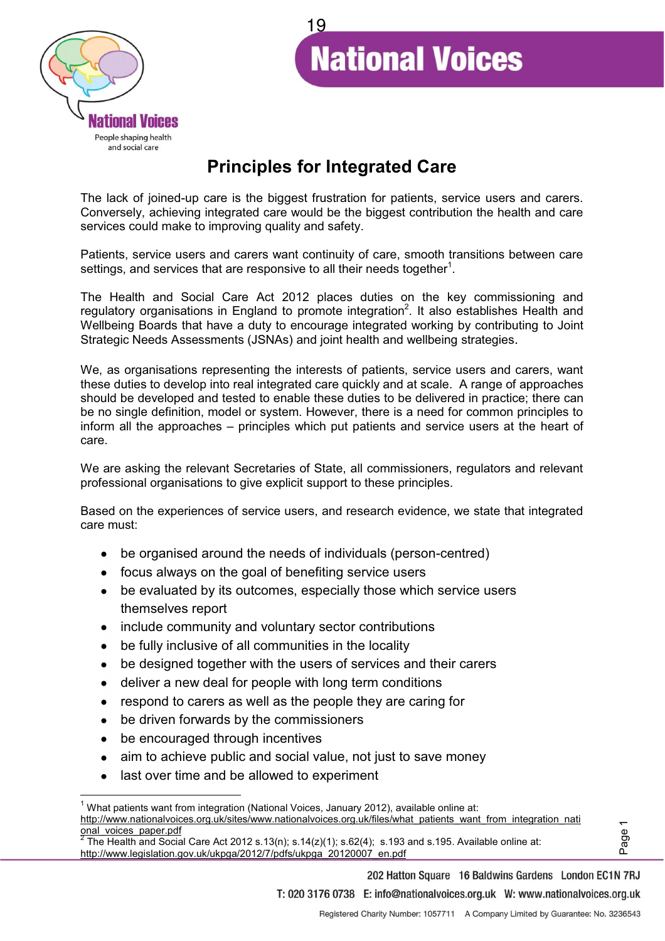

# 19**National Voices**

# **Principles for Integrated Care**

The lack of joined-up care is the biggest frustration for patients, service users and carers. Conversely, achieving integrated care would be the biggest contribution the health and care services could make to improving quality and safety.

Patients, service users and carers want continuity of care, smooth transitions between care settings, and services that are responsive to all their needs together<sup>1</sup>.

The Health and Social Care Act 2012 places duties on the key commissioning and regulatory organisations in England to promote integration<sup>2</sup>. It also establishes Health and Wellbeing Boards that have a duty to encourage integrated working by contributing to Joint Strategic Needs Assessments (JSNAs) and joint health and wellbeing strategies.

We, as organisations representing the interests of patients, service users and carers, want these duties to develop into real integrated care quickly and at scale. A range of approaches should be developed and tested to enable these duties to be delivered in practice; there can be no single definition, model or system. However, there is a need for common principles to inform all the approaches  $-$  principles which put patients and service users at the heart of care.

We are asking the relevant Secretaries of State, all commissioners, regulators and relevant professional organisations to give explicit support to these principles.

Based on the experiences of service users, and research evidence, we state that integrated care must:

- be organised around the needs of individuals (person-centred)  $\bullet$
- focus always on the goal of benefiting service users
- be evaluated by its outcomes, especially those which service users themselves report
- include community and voluntary sector contributions
- be fully inclusive of all communities in the locality
- be designed together with the users of services and their carers
- deliver a new deal for people with long term conditions
- respond to carers as well as the people they are caring for  $\bullet$
- be driven forwards by the commissioners
- be encouraged through incentives  $\bullet$

l.

- aim to achieve public and social value, not just to save money  $\bullet$
- last over time and be allowed to experiment  $\bullet$

http://www.legislation.gov.uk/ukpga/2012/7/pdfs/ukpga\_20120007\_en.pdf

Page 1

<sup>&</sup>lt;sup>1</sup> What patients want from integration (National Voices, January 2012), available online at: http://www.nationalvoices.org.uk/sites/www.nationalvoices.org.uk/files/what\_patients\_want\_from\_integration\_nati <u>onal\_voices\_paper.pdf</u><br><sup>2</sup> The Health and Social Care Act 2012 s.13(n); s.14(z)(1); s.62(4); s.193 and s.195. Available online at: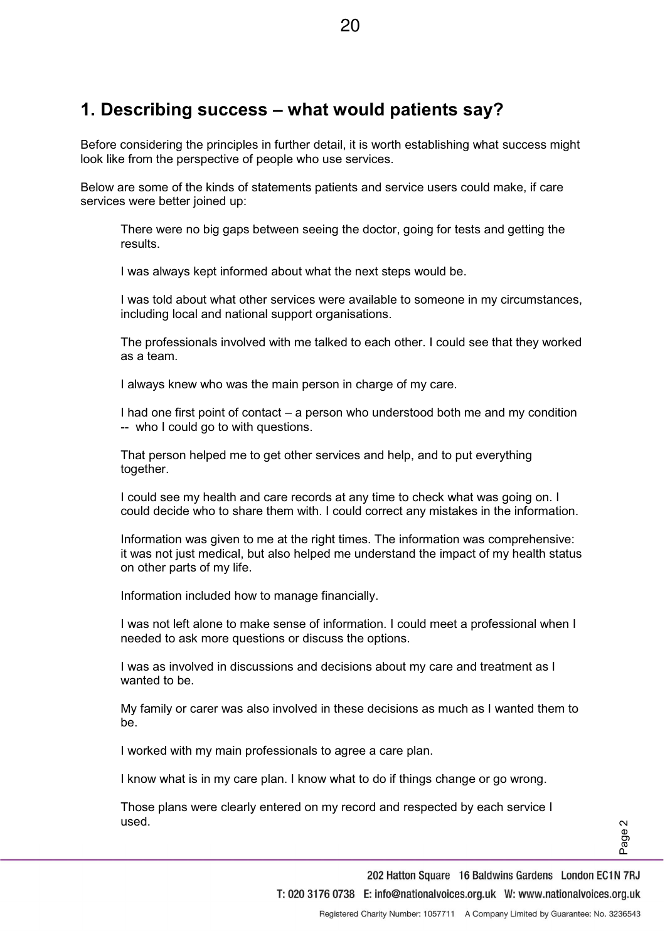# **1. Describing success ± what would patients say?**

Before considering the principles in further detail, it is worth establishing what success might look like from the perspective of people who use services.

Below are some of the kinds of statements patients and service users could make, if care services were better joined up:

There were no big gaps between seeing the doctor, going for tests and getting the results.

I was always kept informed about what the next steps would be.

I was told about what other services were available to someone in my circumstances, including local and national support organisations.

The professionals involved with me talked to each other. I could see that they worked as a team.

I always knew who was the main person in charge of my care.

I had one first point of contact  $-\infty$  person who understood both me and my condition -- who I could go to with questions.

That person helped me to get other services and help, and to put everything together.

I could see my health and care records at any time to check what was going on. I could decide who to share them with. I could correct any mistakes in the information.

Information was given to me at the right times. The information was comprehensive: it was not just medical, but also helped me understand the impact of my health status on other parts of my life.

Information included how to manage financially.

I was not left alone to make sense of information. I could meet a professional when I needed to ask more questions or discuss the options.

I was as involved in discussions and decisions about my care and treatment as I wanted to be.

My family or carer was also involved in these decisions as much as I wanted them to be.

I worked with my main professionals to agree a care plan.

I know what is in my care plan. I know what to do if things change or go wrong.

Those plans were clearly entered on my record and respected by each service I used.

Page 2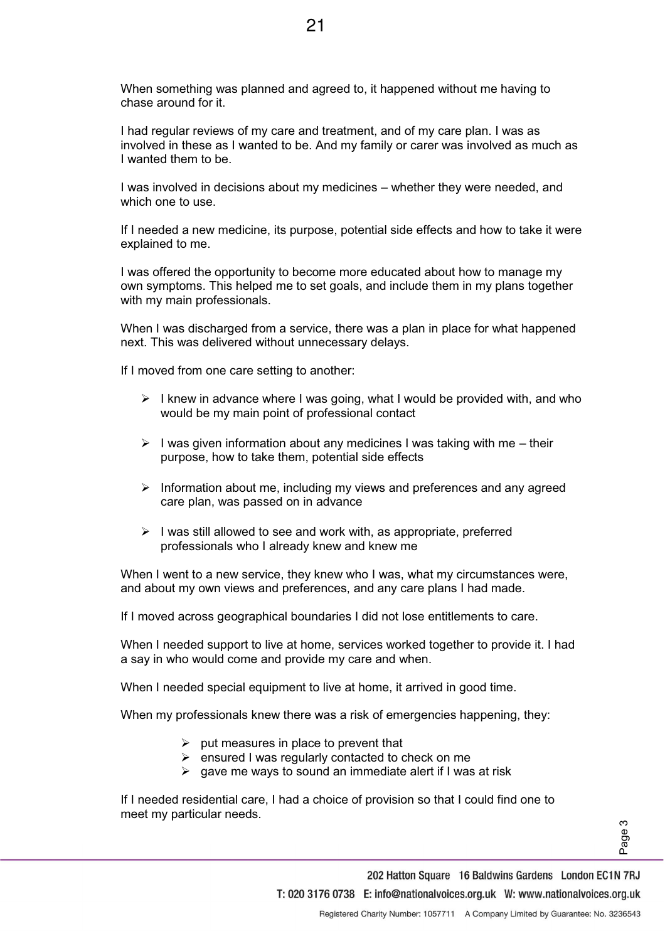When something was planned and agreed to, it happened without me having to chase around for it.

I had regular reviews of my care and treatment, and of my care plan. I was as involved in these as I wanted to be. And my family or carer was involved as much as I wanted them to be.

I was involved in decisions about my medicines – whether they were needed, and which one to use.

If I needed a new medicine, its purpose, potential side effects and how to take it were explained to me.

I was offered the opportunity to become more educated about how to manage my own symptoms. This helped me to set goals, and include them in my plans together with my main professionals.

When I was discharged from a service, there was a plan in place for what happened next. This was delivered without unnecessary delays.

If I moved from one care setting to another:

- $\triangleright$  I knew in advance where I was going, what I would be provided with, and who would be my main point of professional contact
- $\triangleright$  I was given information about any medicines I was taking with me their purpose, how to take them, potential side effects
- $\triangleright$  Information about me, including my views and preferences and any agreed care plan, was passed on in advance
- $\triangleright$  I was still allowed to see and work with, as appropriate, preferred professionals who I already knew and knew me

When I went to a new service, they knew who I was, what my circumstances were, and about my own views and preferences, and any care plans I had made.

If I moved across geographical boundaries I did not lose entitlements to care.

When I needed support to live at home, services worked together to provide it. I had a say in who would come and provide my care and when.

When I needed special equipment to live at home, it arrived in good time.

When my professionals knew there was a risk of emergencies happening, they:

- $\triangleright$  put measures in place to prevent that
- $\triangleright$  ensured I was regularly contacted to check on me
- $\triangleright$  gave me ways to sound an immediate alert if I was at risk

If I needed residential care, I had a choice of provision so that I could find one to meet my particular needs.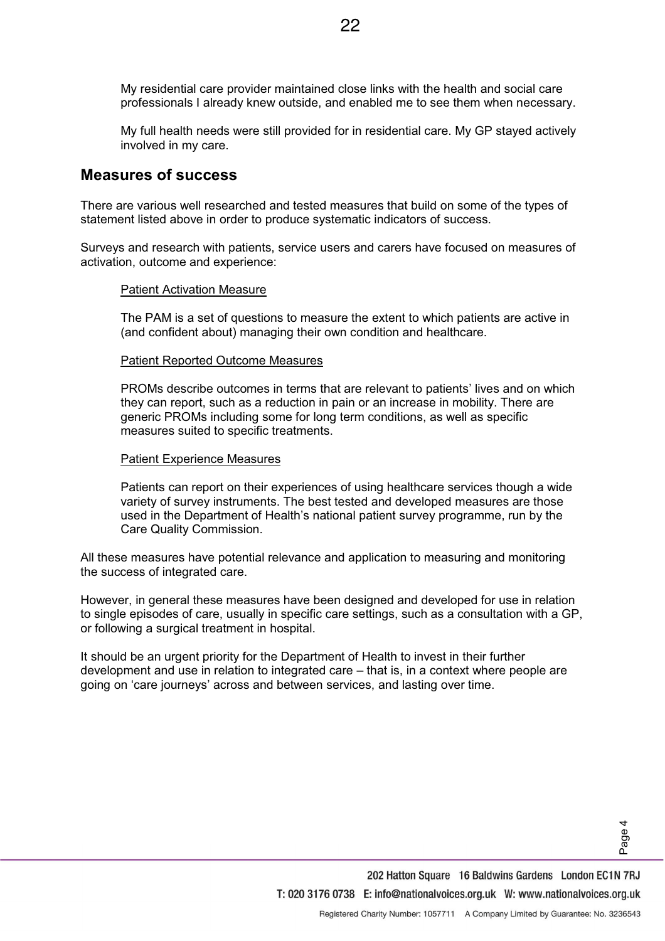My residential care provider maintained close links with the health and social care professionals I already knew outside, and enabled me to see them when necessary.

My full health needs were still provided for in residential care. My GP stayed actively involved in my care.

#### **Measures of success**

There are various well researched and tested measures that build on some of the types of statement listed above in order to produce systematic indicators of success.

Surveys and research with patients, service users and carers have focused on measures of activation, outcome and experience:

#### Patient Activation Measure

The PAM is a set of questions to measure the extent to which patients are active in (and confident about) managing their own condition and healthcare.

#### Patient Reported Outcome Measures

**PROMs describe outcomes in terms that are relevant to patients' lives and on which** they can report, such as a reduction in pain or an increase in mobility. There are generic PROMs including some for long term conditions, as well as specific measures suited to specific treatments.

#### Patient Experience Measures

Patients can report on their experiences of using healthcare services though a wide variety of survey instruments. The best tested and developed measures are those used in the Department of Health's national patient survey programme, run by the Care Quality Commission.

All these measures have potential relevance and application to measuring and monitoring the success of integrated care.

However, in general these measures have been designed and developed for use in relation to single episodes of care, usually in specific care settings, such as a consultation with a GP, or following a surgical treatment in hospital.

It should be an urgent priority for the Department of Health to invest in their further development and use in relation to integrated care  $-$  that is, in a context where people are going on 'care journeys' across and between services, and lasting over time.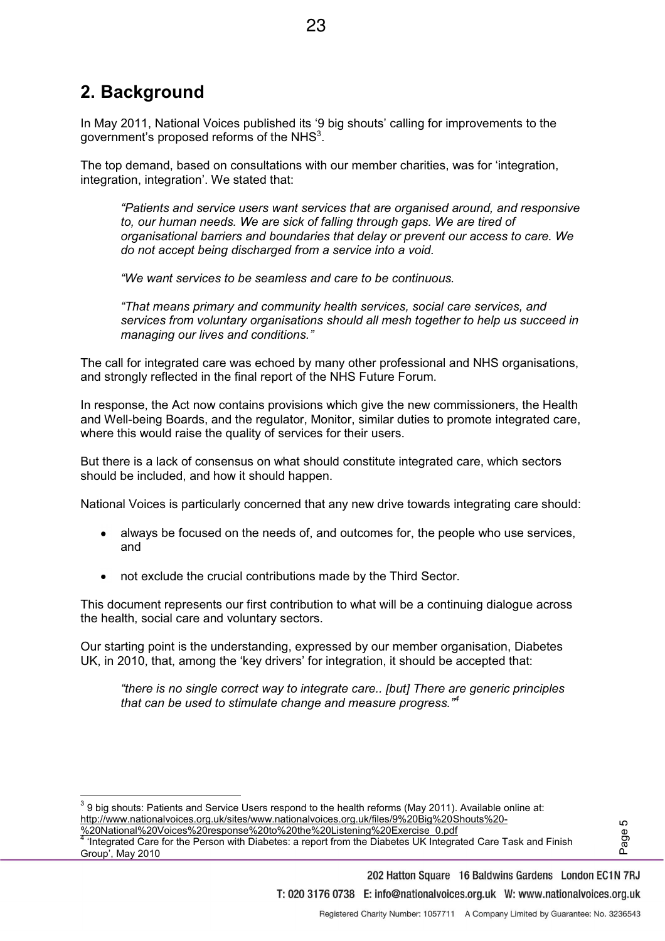# **2. Background**

l.

In May 2011, National Voices published its '9 big shouts' calling for improvements to the government's proposed reforms of the NHS<sup>3</sup>.

23

The top demand, based on consultations with our member charities, was for 'integration, integration, integration'. We stated that:

*Patients and service users want services that are organised around, and responsive to, our human needs. We are sick of falling through gaps. We are tired of organisational barriers and boundaries that delay or prevent our access to care. We do not accept being discharged from a service into a void.* 

*We want services to be seamless and care to be continuous.* 

*³7KDWPHDQVSULPDU\DQG community health services, social care services, and services from voluntary organisations should all mesh together to help us succeed in managing our lives and conditions."* 

The call for integrated care was echoed by many other professional and NHS organisations, and strongly reflected in the final report of the NHS Future Forum.

In response, the Act now contains provisions which give the new commissioners, the Health and Well-being Boards, and the regulator, Monitor, similar duties to promote integrated care, where this would raise the quality of services for their users.

But there is a lack of consensus on what should constitute integrated care, which sectors should be included, and how it should happen.

National Voices is particularly concerned that any new drive towards integrating care should:

- always be focused on the needs of, and outcomes for, the people who use services, and
- not exclude the crucial contributions made by the Third Sector.

This document represents our first contribution to what will be a continuing dialogue across the health, social care and voluntary sectors.

Our starting point is the understanding, expressed by our member organisation, Diabetes UK, in 2010, that, among the 'key drivers' for integration, it should be accepted that:

*ahere is no single correct way to integrate care.. [but] There are generic principles that can be used to stimulate change and measure progress.*<sup> $*$ 4</sup>

 $^3$  9 big shouts: Patients and Service Users respond to the health reforms (May 2011). Available online at: http://www.nationalvoices.org.uk/sites/www.nationalvoices.org.uk/files/9%20Big%20Shouts%20-

<u>%20National%20Voices%20response%20to%20the%20Listening%20Exercise\_0.pdf</u><br><sup>4</sup> 'Integrated Care for the Person with Diabetes: a report from the Diabetes UK Integrated Care Task and Finish Group<sup>7</sup>, May 2010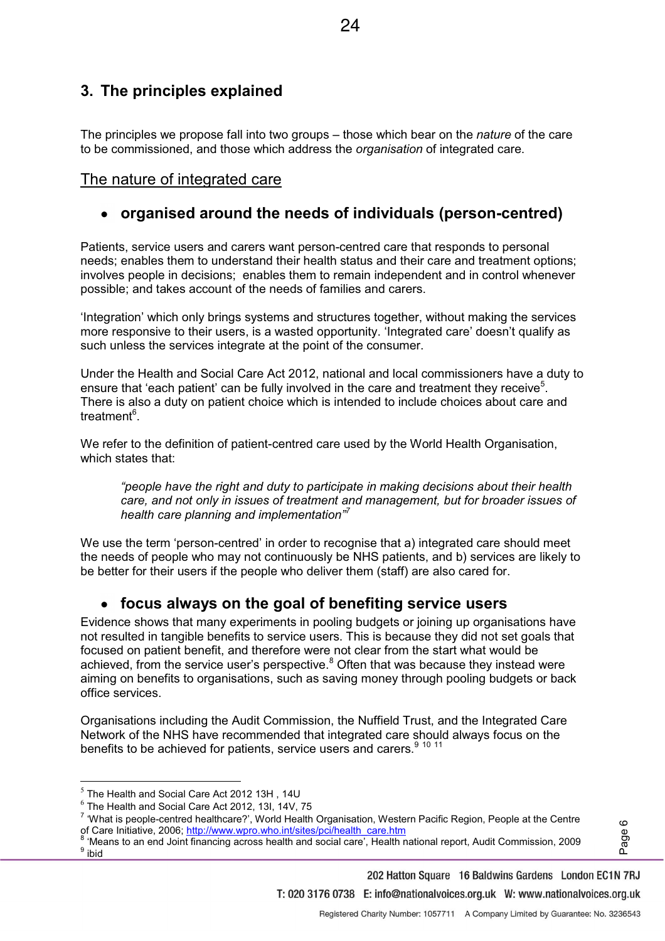## **3. The principles explained**

The principles we propose fall into two groups – those which bear on the *nature* of the care to be commissioned, and those which address the *organisation* of integrated care.

#### The nature of integrated care

#### **organised around the needs of individuals (person-centred)**

Patients, service users and carers want person-centred care that responds to personal needs; enables them to understand their health status and their care and treatment options; involves people in decisions; enables them to remain independent and in control whenever possible; and takes account of the needs of families and carers.

'Integration' which only brings systems and structures together, without making the services more responsive to their users, is a wasted opportunity. 'Integrated care' doesn't qualify as such unless the services integrate at the point of the consumer.

Under the Health and Social Care Act 2012, national and local commissioners have a duty to ensure that 'each patient' can be fully involved in the care and treatment they receive<sup>5</sup>. There is also a duty on patient choice which is intended to include choices about care and treatment<sup>6</sup>.

We refer to the definition of patient-centred care used by the World Health Organisation, which states that:

"people have the right and duty to participate in making decisions about their health *care, and not only in issues of treatment and management, but for broader issues of health care planning and implementation*<sup>77</sup>

We use the term 'person-centred' in order to recognise that a) integrated care should meet the needs of people who may not continuously be NHS patients, and b) services are likely to be better for their users if the people who deliver them (staff) are also cared for.

### **focus always on the goal of benefiting service users**

Evidence shows that many experiments in pooling budgets or joining up organisations have not resulted in tangible benefits to service users. This is because they did not set goals that focused on patient benefit, and therefore were not clear from the start what would be achieved, from the service user's perspective.<sup>8</sup> Often that was because they instead were aiming on benefits to organisations, such as saving money through pooling budgets or back office services.

Organisations including the Audit Commission, the Nuffield Trust, and the Integrated Care Network of the NHS have recommended that integrated care should always focus on the benefits to be achieved for patients, service users and carers.<sup>9 10 11</sup>

l.

'Means to an end Joint financing across health and social care', Health national report, Audit Commission, 2009 <sup>9</sup> ibid

202 Hatton Square 16 Baldwins Gardens London EC1N 7RJ T: 020 3176 0738 E: info@nationalvoices.org.uk W: www.nationalvoices.org.uk

 $^5$  The Health and Social Care Act 2012 13H , 14U

 $^6$  The Health and Social Care Act 2012, 13l, 14V, 75

 $^7$  'What is people-centred healthcare?', World Health Organisation, Western Pacific Region, People at the Centre of Care Initiative, 2006; <u>http://www.wpro.who.int/sites/pci/health\_care.htm</u><br><sup>8</sup> 'Meana to an and Joint financing earses health and social sars'. Health n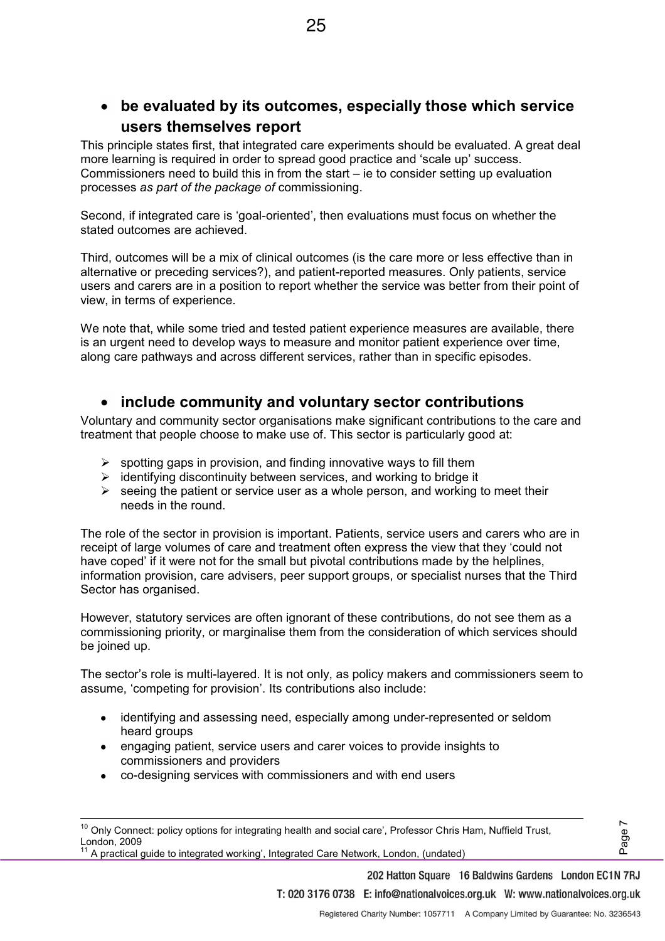**be evaluated by its outcomes, especially those which service users themselves report** 

This principle states first, that integrated care experiments should be evaluated. A great deal more learning is required in order to spread good practice and 'scale up' success. Commissioners need to build this in from the start  $-$  ie to consider setting up evaluation processes *as part of the package of* commissioning.

Second, if integrated care is 'goal-oriented', then evaluations must focus on whether the stated outcomes are achieved.

Third, outcomes will be a mix of clinical outcomes (is the care more or less effective than in alternative or preceding services?), and patient-reported measures. Only patients, service users and carers are in a position to report whether the service was better from their point of view, in terms of experience.

We note that, while some tried and tested patient experience measures are available, there is an urgent need to develop ways to measure and monitor patient experience over time, along care pathways and across different services, rather than in specific episodes.

### **include community and voluntary sector contributions**

Voluntary and community sector organisations make significant contributions to the care and treatment that people choose to make use of. This sector is particularly good at:

- $\triangleright$  spotting gaps in provision, and finding innovative ways to fill them
- ¾ identifying discontinuity between services, and working to bridge it
- $\triangleright$  seeing the patient or service user as a whole person, and working to meet their needs in the round.

The role of the sector in provision is important. Patients, service users and carers who are in receipt of large volumes of care and treatment often express the view that they 'could not have coped' if it were not for the small but pivotal contributions made by the helplines, information provision, care advisers, peer support groups, or specialist nurses that the Third Sector has organised.

However, statutory services are often ignorant of these contributions, do not see them as a commissioning priority, or marginalise them from the consideration of which services should be joined up.

The sector's role is multi-layered. It is not only, as policy makers and commissioners seem to assume, 'competing for provision'. Its contributions also include:

- identifying and assessing need, especially among under-represented or seldom heard groups
- engaging patient, service users and carer voices to provide insights to commissioners and providers
- co-designing services with commissioners and with end users

l.

A practical quide to integrated working', Integrated Care Network, London, (undated)

202 Hatton Square 16 Baldwins Gardens London EC1N 7RJ

T: 020 3176 0738 E: info@nationalvoices.org.uk W: www.nationalvoices.org.uk

Page<sup>7</sup>

 $10$  Only Connect: policy options for integrating health and social care', Professor Chris Ham, Nuffield Trust, London, 2009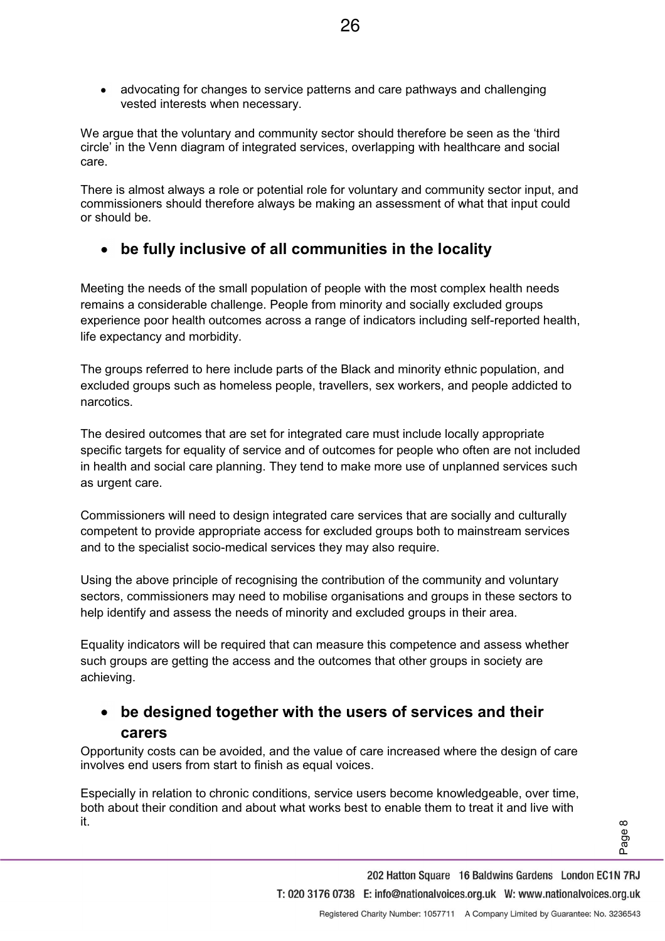advocating for changes to service patterns and care pathways and challenging vested interests when necessary.

26

We arque that the voluntary and community sector should therefore be seen as the 'third circle' in the Venn diagram of integrated services, overlapping with healthcare and social care.

There is almost always a role or potential role for voluntary and community sector input, and commissioners should therefore always be making an assessment of what that input could or should be.

#### **be fully inclusive of all communities in the locality**   $\bullet$

Meeting the needs of the small population of people with the most complex health needs remains a considerable challenge. People from minority and socially excluded groups experience poor health outcomes across a range of indicators including self-reported health, life expectancy and morbidity.

The groups referred to here include parts of the Black and minority ethnic population, and excluded groups such as homeless people, travellers, sex workers, and people addicted to narcotics.

The desired outcomes that are set for integrated care must include locally appropriate specific targets for equality of service and of outcomes for people who often are not included in health and social care planning. They tend to make more use of unplanned services such as urgent care.

Commissioners will need to design integrated care services that are socially and culturally competent to provide appropriate access for excluded groups both to mainstream services and to the specialist socio-medical services they may also require.

Using the above principle of recognising the contribution of the community and voluntary sectors, commissioners may need to mobilise organisations and groups in these sectors to help identify and assess the needs of minority and excluded groups in their area.

Equality indicators will be required that can measure this competence and assess whether such groups are getting the access and the outcomes that other groups in society are achieving.

# **be designed together with the users of services and their carers**

Opportunity costs can be avoided, and the value of care increased where the design of care involves end users from start to finish as equal voices.

Especially in relation to chronic conditions, service users become knowledgeable, over time, both about their condition and about what works best to enable them to treat it and live with it.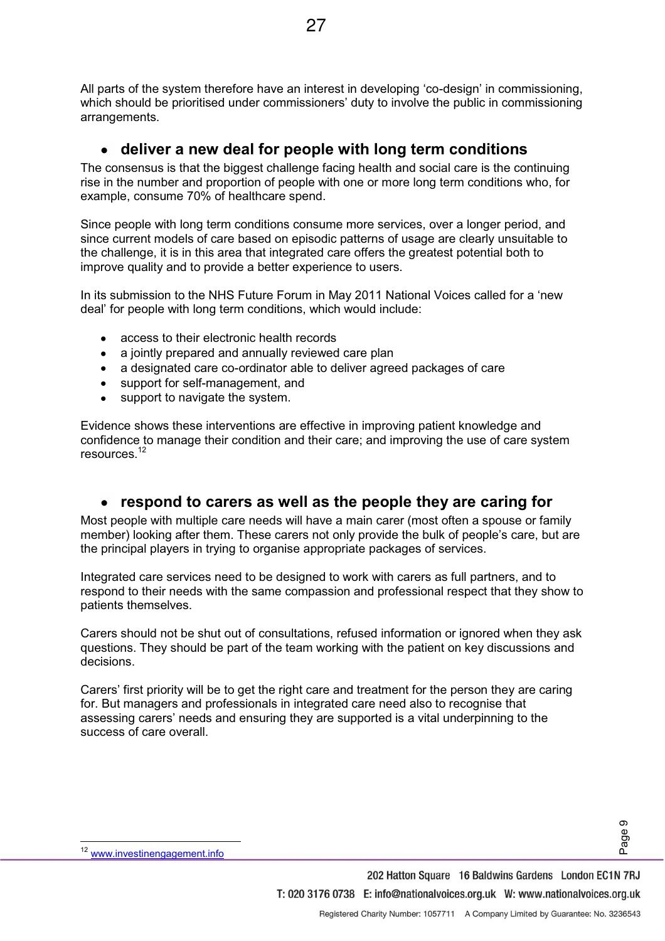All parts of the system therefore have an interest in developing 'co-design' in commissioning, which should be prioritised under commissioners' duty to involve the public in commissioning arrangements.

#### **deliver a new deal for people with long term conditions**   $\bullet$

The consensus is that the biggest challenge facing health and social care is the continuing rise in the number and proportion of people with one or more long term conditions who, for example, consume 70% of healthcare spend.

Since people with long term conditions consume more services, over a longer period, and since current models of care based on episodic patterns of usage are clearly unsuitable to the challenge, it is in this area that integrated care offers the greatest potential both to improve quality and to provide a better experience to users.

In its submission to the NHS Future Forum in May 2011 National Voices called for a 'new deal' for people with long term conditions, which would include:

- access to their electronic health records
- a jointly prepared and annually reviewed care plan
- a designated care co-ordinator able to deliver agreed packages of care
- support for self-management, and
- support to navigate the system.

Evidence shows these interventions are effective in improving patient knowledge and confidence to manage their condition and their care; and improving the use of care system resources.<sup>12</sup>

### **respond to carers as well as the people they are caring for**

Most people with multiple care needs will have a main carer (most often a spouse or family member) looking after them. These carers not only provide the bulk of people's care, but are the principal players in trying to organise appropriate packages of services.

Integrated care services need to be designed to work with carers as full partners, and to respond to their needs with the same compassion and professional respect that they show to patients themselves.

Carers should not be shut out of consultations, refused information or ignored when they ask questions. They should be part of the team working with the patient on key discussions and decisions.

Carers' first priority will be to get the right care and treatment for the person they are caring for. But managers and professionals in integrated care need also to recognise that assessing carers' needs and ensuring they are supported is a vital underpinning to the success of care overall.

l.

<sup>12</sup> www.investinengagement.info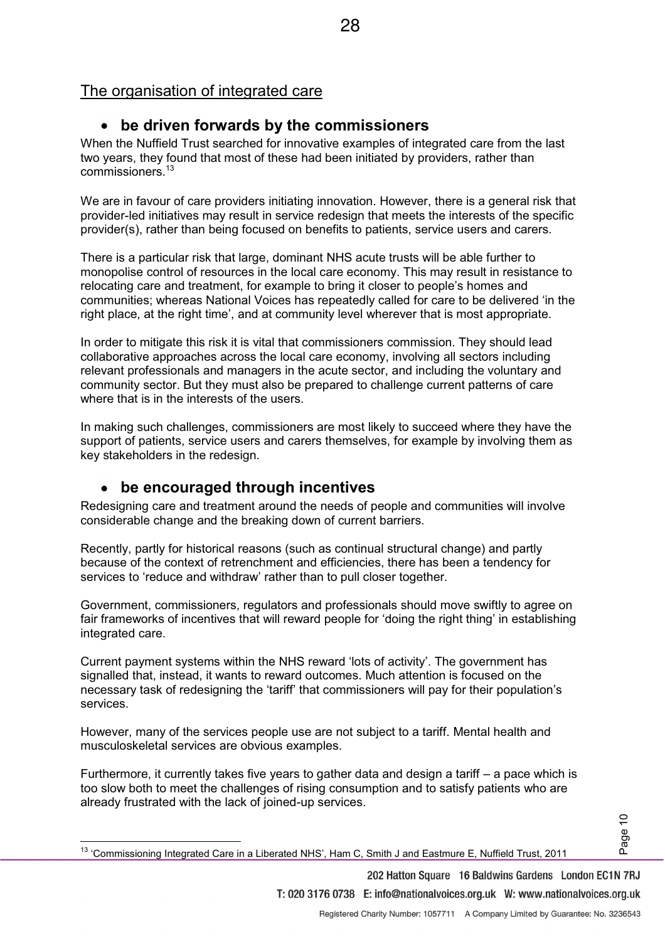### The organisation of integrated care

### **be driven forwards by the commissioners**

When the Nuffield Trust searched for innovative examples of integrated care from the last two years, they found that most of these had been initiated by providers, rather than commissioners<sup>13</sup>

We are in favour of care providers initiating innovation. However, there is a general risk that provider-led initiatives may result in service redesign that meets the interests of the specific provider(s), rather than being focused on benefits to patients, service users and carers.

There is a particular risk that large, dominant NHS acute trusts will be able further to monopolise control of resources in the local care economy. This may result in resistance to relocating care and treatment, for example to bring it closer to people's homes and communities; whereas National Voices has repeatedly called for care to be delivered 'in the right place, at the right time', and at community level wherever that is most appropriate.

In order to mitigate this risk it is vital that commissioners commission. They should lead collaborative approaches across the local care economy, involving all sectors including relevant professionals and managers in the acute sector, and including the voluntary and community sector. But they must also be prepared to challenge current patterns of care where that is in the interests of the users.

In making such challenges, commissioners are most likely to succeed where they have the support of patients, service users and carers themselves, for example by involving them as key stakeholders in the redesign.

#### **be encouraged through incentives**   $\bullet$

l.

Redesigning care and treatment around the needs of people and communities will involve considerable change and the breaking down of current barriers.

Recently, partly for historical reasons (such as continual structural change) and partly because of the context of retrenchment and efficiencies, there has been a tendency for services to 'reduce and withdraw' rather than to pull closer together.

Government, commissioners, regulators and professionals should move swiftly to agree on fair frameworks of incentives that will reward people for 'doing the right thing' in establishing integrated care.

Current payment systems within the NHS reward 'lots of activity'. The government has signalled that, instead, it wants to reward outcomes. Much attention is focused on the necessary task of redesigning the 'tariff' that commissioners will pay for their population's services.

However, many of the services people use are not subject to a tariff. Mental health and musculoskeletal services are obvious examples.

Furthermore, it currently takes five years to gather data and design a tariff  $-$  a pace which is too slow both to meet the challenges of rising consumption and to satisfy patients who are already frustrated with the lack of joined-up services.

202 Hatton Square 16 Baldwins Gardens London EC1N 7RJ T: 020 3176 0738 E: info@nationalvoices.org.uk W: www.nationalvoices.org.uk

Page 10

<sup>13 &#</sup>x27;Commissioning Integrated Care in a Liberated NHS', Ham C, Smith J and Eastmure E, Nuffield Trust, 2011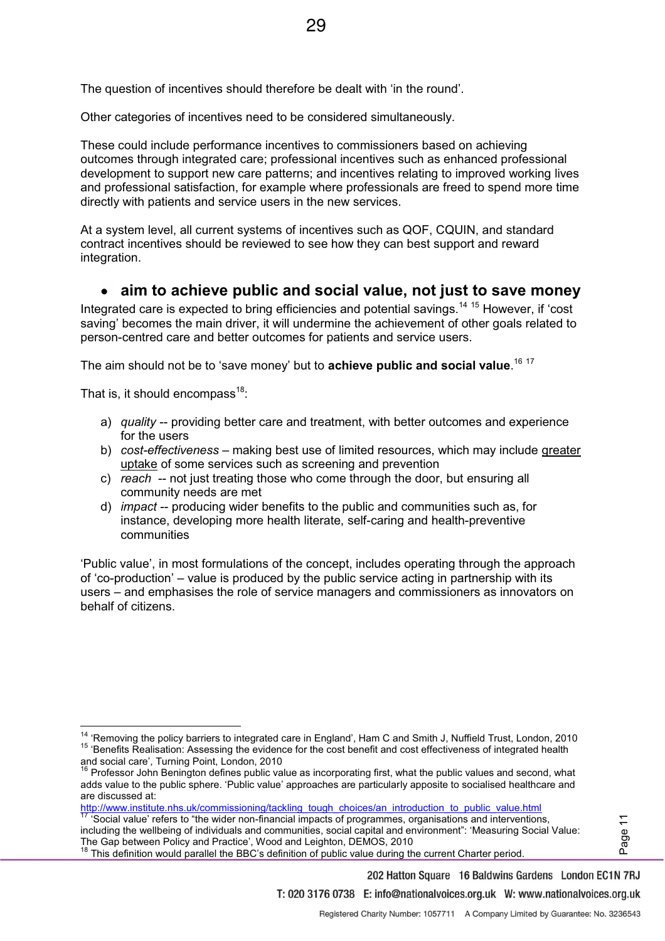The question of incentives should therefore be dealt with 'in the round'.

Other categories of incentives need to be considered simultaneously.

These could include performance incentives to commissioners based on achieving outcomes through integrated care; professional incentives such as enhanced professional development to support new care patterns; and incentives relating to improved working lives and professional satisfaction, for example where professionals are freed to spend more time directly with patients and service users in the new services.

At a system level, all current systems of incentives such as QOF, CQUIN, and standard contract incentives should be reviewed to see how they can best support and reward integration.

#### **aim to achieve public and social value, not just to save money**   $\bullet$

Integrated care is expected to bring efficiencies and potential savings.<sup>14 15</sup> However, if 'cost saving' becomes the main driver, it will undermine the achievement of other goals related to person-centred care and better outcomes for patients and service users.

The aim should not be to 'save money' but to **achieve public and social value**.<sup>16 17</sup>

That is, it should encompass<sup>18</sup>:

 $\overline{a}$ 

- a) *quality* -- providing better care and treatment, with better outcomes and experience for the users
- b) *cost-effectiveness* making best use of limited resources, which may include greater uptake of some services such as screening and prevention
- c) *reach* -- not just treating those who come through the door, but ensuring all community needs are met
- d) *impact* -- producing wider benefits to the public and communities such as, for instance, developing more health literate, self-caring and health-preventive communities

 $P$  Public value', in most formulations of the concept, includes operating through the approach of 'co-production'  $-$  value is produced by the public service acting in partnership with its users – and emphasises the role of service managers and commissioners as innovators on behalf of citizens.

Page 11

T: 020 3176 0738 E: info@nationalvoices.org.uk W: www.nationalvoices.org.uk

202 Hatton Square 16 Baldwins Gardens London EC1N 7RJ

<sup>&</sup>lt;sup>14</sup> 'Removina the policv barriers to integrated care in England', Ham C and Smith J, Nuffield Trust, London, 2010 15 'Benefits Realisation: Assessing the evidence for the cost benefit and cost effectiveness of integrated health and social care', Turning Point, London, 2010

 $16$  Professor John Benington defines public value as incorporating first, what the public values and second, what adds value to the public sphere. 'Public value' approaches are particularly apposite to socialised healthcare and are discussed at:

http://www.institute.nhs.uk/commissioning/tackling\_tough\_choices/an\_introduction\_to\_public\_value.html<br>17 Social value.aspx to "i"

<sup>&#</sup>x27;Social value' refers to "the wider non-financial impacts of programmes, organisations and interventions, including the wellbeing of individuals and communities, social capital and environment": 'Measuring Social Value: The Gap between Policy and Practice', Wood and Leighton, DEMOS, 2010

<sup>18</sup> USE FECTROLL FILLY FILL WILL BE SOLIGIST OF PUBLIC VALUE during the current Charter period.